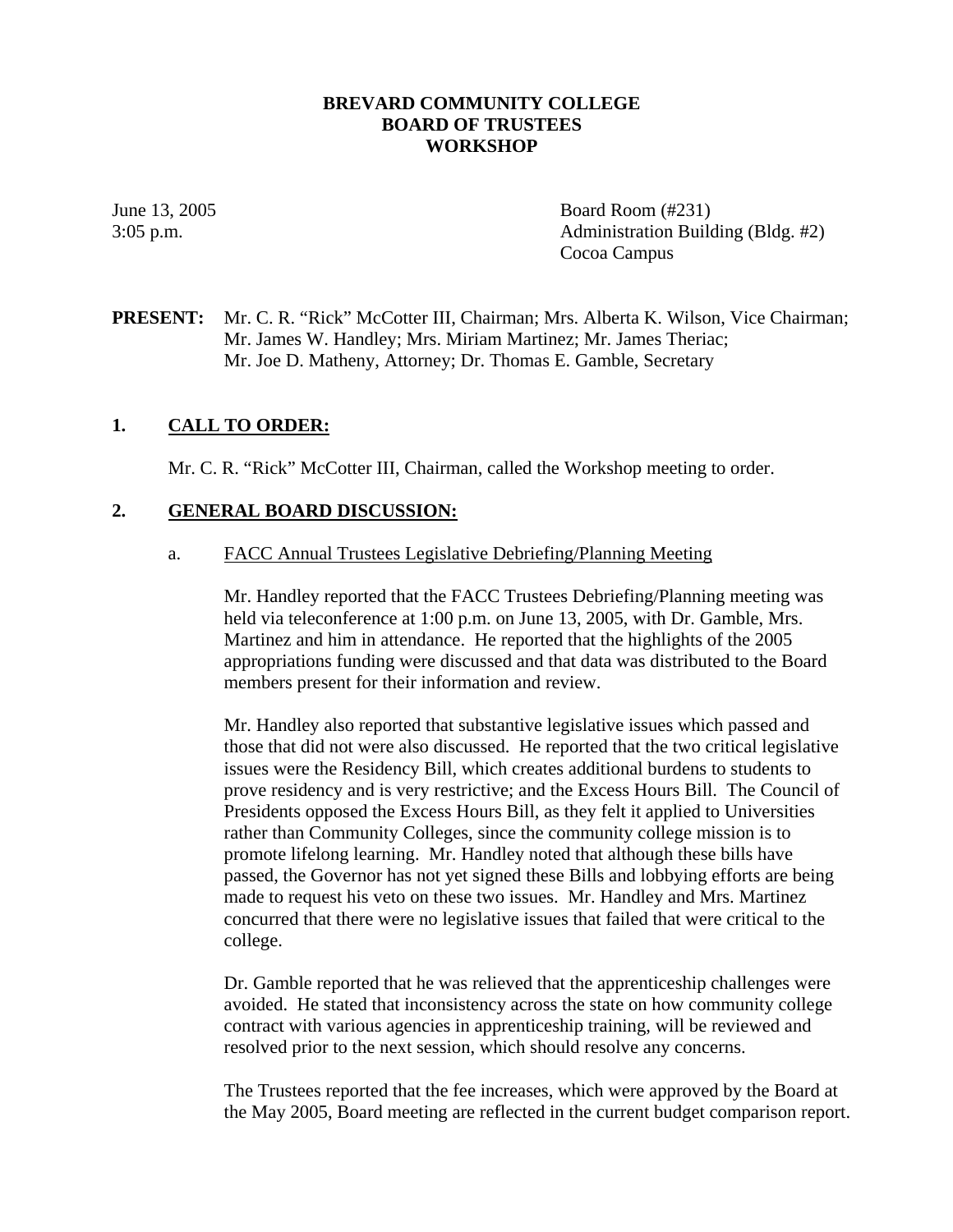#### **BREVARD COMMUNITY COLLEGE BOARD OF TRUSTEES WORKSHOP**

June 13, 2005 Board Room (#231) 3:05 p.m. Administration Building (Bldg. #2) Cocoa Campus

### **PRESENT:** Mr. C. R. "Rick" McCotter III, Chairman; Mrs. Alberta K. Wilson, Vice Chairman; Mr. James W. Handley; Mrs. Miriam Martinez; Mr. James Theriac; Mr. Joe D. Matheny, Attorney; Dr. Thomas E. Gamble, Secretary

### **1. CALL TO ORDER:**

Mr. C. R. "Rick" McCotter III, Chairman, called the Workshop meeting to order.

#### **2. GENERAL BOARD DISCUSSION:**

#### a. FACC Annual Trustees Legislative Debriefing/Planning Meeting

Mr. Handley reported that the FACC Trustees Debriefing/Planning meeting was held via teleconference at 1:00 p.m. on June 13, 2005, with Dr. Gamble, Mrs. Martinez and him in attendance. He reported that the highlights of the 2005 appropriations funding were discussed and that data was distributed to the Board members present for their information and review.

Mr. Handley also reported that substantive legislative issues which passed and those that did not were also discussed. He reported that the two critical legislative issues were the Residency Bill, which creates additional burdens to students to prove residency and is very restrictive; and the Excess Hours Bill. The Council of Presidents opposed the Excess Hours Bill, as they felt it applied to Universities rather than Community Colleges, since the community college mission is to promote lifelong learning. Mr. Handley noted that although these bills have passed, the Governor has not yet signed these Bills and lobbying efforts are being made to request his veto on these two issues. Mr. Handley and Mrs. Martinez concurred that there were no legislative issues that failed that were critical to the college.

Dr. Gamble reported that he was relieved that the apprenticeship challenges were avoided. He stated that inconsistency across the state on how community college contract with various agencies in apprenticeship training, will be reviewed and resolved prior to the next session, which should resolve any concerns.

The Trustees reported that the fee increases, which were approved by the Board at the May 2005, Board meeting are reflected in the current budget comparison report.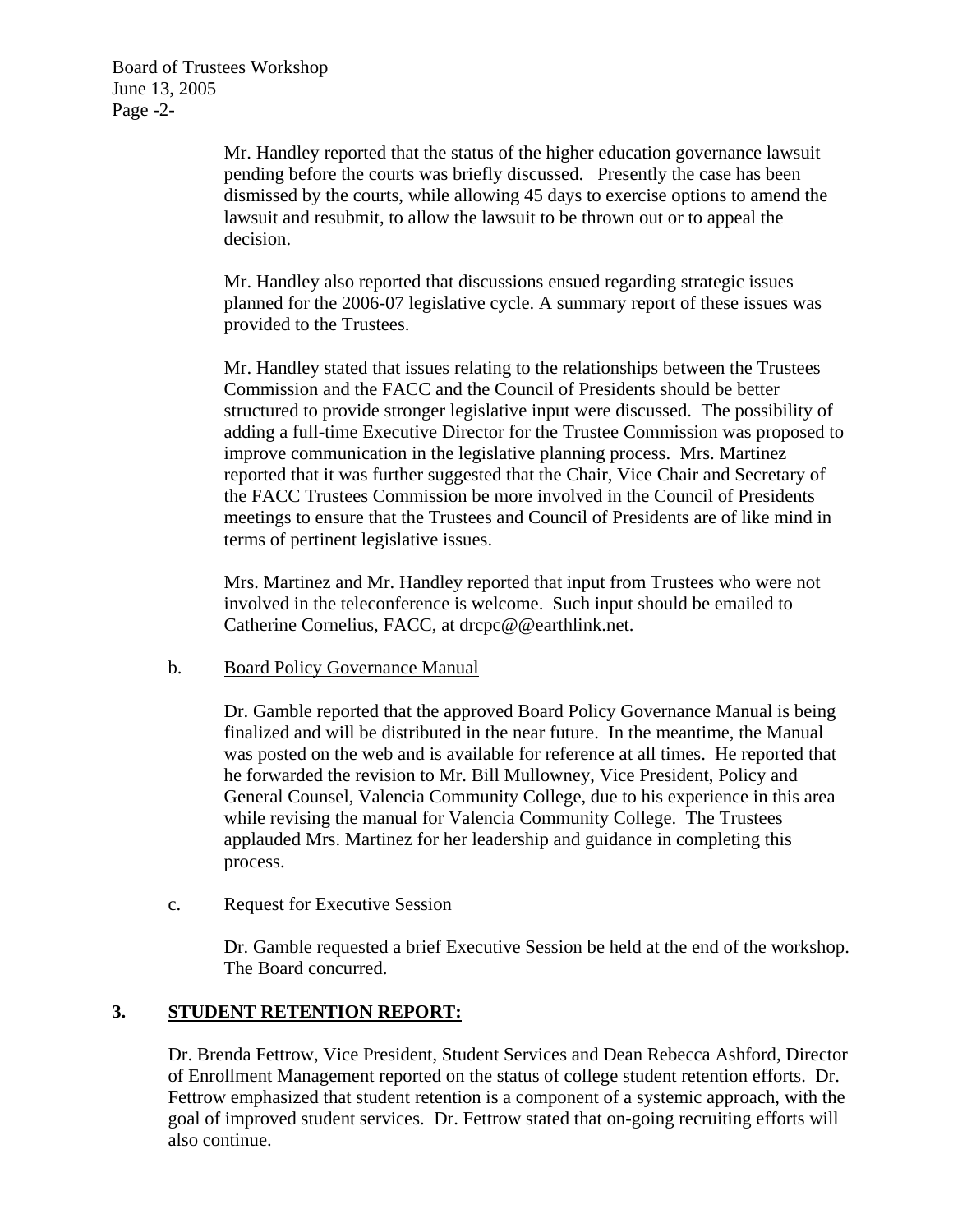Board of Trustees Workshop June 13, 2005 Page -2-

> Mr. Handley reported that the status of the higher education governance lawsuit pending before the courts was briefly discussed. Presently the case has been dismissed by the courts, while allowing 45 days to exercise options to amend the lawsuit and resubmit, to allow the lawsuit to be thrown out or to appeal the decision.

Mr. Handley also reported that discussions ensued regarding strategic issues planned for the 2006-07 legislative cycle. A summary report of these issues was provided to the Trustees.

Mr. Handley stated that issues relating to the relationships between the Trustees Commission and the FACC and the Council of Presidents should be better structured to provide stronger legislative input were discussed. The possibility of adding a full-time Executive Director for the Trustee Commission was proposed to improve communication in the legislative planning process. Mrs. Martinez reported that it was further suggested that the Chair, Vice Chair and Secretary of the FACC Trustees Commission be more involved in the Council of Presidents meetings to ensure that the Trustees and Council of Presidents are of like mind in terms of pertinent legislative issues.

Mrs. Martinez and Mr. Handley reported that input from Trustees who were not involved in the teleconference is welcome. Such input should be emailed to Catherine Cornelius, FACC, at drcpc@@earthlink.net.

#### b. Board Policy Governance Manual

Dr. Gamble reported that the approved Board Policy Governance Manual is being finalized and will be distributed in the near future. In the meantime, the Manual was posted on the web and is available for reference at all times. He reported that he forwarded the revision to Mr. Bill Mullowney, Vice President, Policy and General Counsel, Valencia Community College, due to his experience in this area while revising the manual for Valencia Community College. The Trustees applauded Mrs. Martinez for her leadership and guidance in completing this process.

#### c. Request for Executive Session

Dr. Gamble requested a brief Executive Session be held at the end of the workshop. The Board concurred.

### **3. STUDENT RETENTION REPORT:**

Dr. Brenda Fettrow, Vice President, Student Services and Dean Rebecca Ashford, Director of Enrollment Management reported on the status of college student retention efforts. Dr. Fettrow emphasized that student retention is a component of a systemic approach, with the goal of improved student services. Dr. Fettrow stated that on-going recruiting efforts will also continue.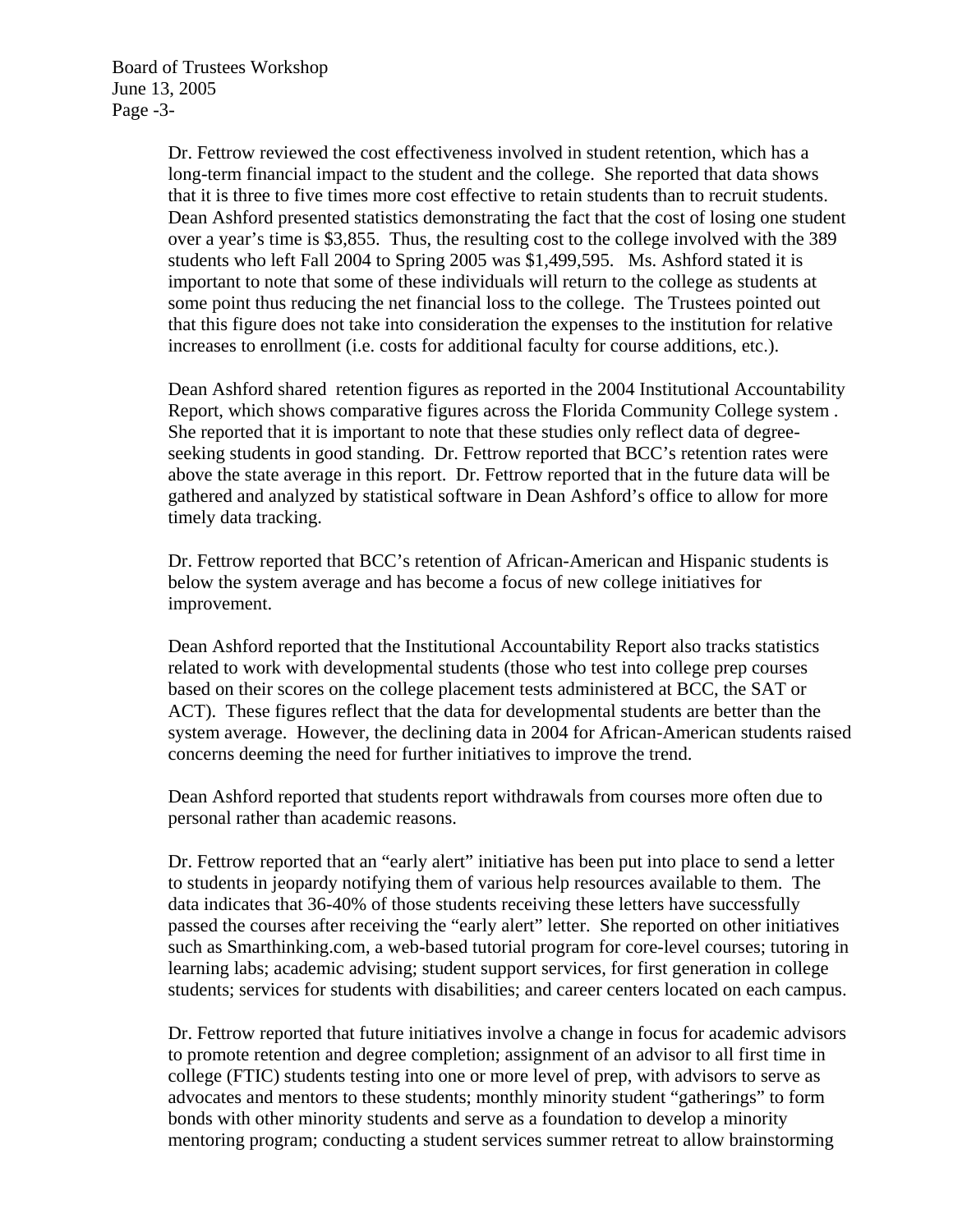Dr. Fettrow reviewed the cost effectiveness involved in student retention, which has a long-term financial impact to the student and the college. She reported that data shows that it is three to five times more cost effective to retain students than to recruit students. Dean Ashford presented statistics demonstrating the fact that the cost of losing one student over a year's time is \$3,855. Thus, the resulting cost to the college involved with the 389 students who left Fall 2004 to Spring 2005 was \$1,499,595. Ms. Ashford stated it is important to note that some of these individuals will return to the college as students at some point thus reducing the net financial loss to the college. The Trustees pointed out that this figure does not take into consideration the expenses to the institution for relative increases to enrollment (i.e. costs for additional faculty for course additions, etc.).

Dean Ashford shared retention figures as reported in the 2004 Institutional Accountability Report, which shows comparative figures across the Florida Community College system . She reported that it is important to note that these studies only reflect data of degreeseeking students in good standing. Dr. Fettrow reported that BCC's retention rates were above the state average in this report. Dr. Fettrow reported that in the future data will be gathered and analyzed by statistical software in Dean Ashford's office to allow for more timely data tracking.

Dr. Fettrow reported that BCC's retention of African-American and Hispanic students is below the system average and has become a focus of new college initiatives for improvement.

Dean Ashford reported that the Institutional Accountability Report also tracks statistics related to work with developmental students (those who test into college prep courses based on their scores on the college placement tests administered at BCC, the SAT or ACT). These figures reflect that the data for developmental students are better than the system average. However, the declining data in 2004 for African-American students raised concerns deeming the need for further initiatives to improve the trend.

Dean Ashford reported that students report withdrawals from courses more often due to personal rather than academic reasons.

Dr. Fettrow reported that an "early alert" initiative has been put into place to send a letter to students in jeopardy notifying them of various help resources available to them. The data indicates that 36-40% of those students receiving these letters have successfully passed the courses after receiving the "early alert" letter. She reported on other initiatives such as Smarthinking.com, a web-based tutorial program for core-level courses; tutoring in learning labs; academic advising; student support services, for first generation in college students; services for students with disabilities; and career centers located on each campus.

Dr. Fettrow reported that future initiatives involve a change in focus for academic advisors to promote retention and degree completion; assignment of an advisor to all first time in college (FTIC) students testing into one or more level of prep, with advisors to serve as advocates and mentors to these students; monthly minority student "gatherings" to form bonds with other minority students and serve as a foundation to develop a minority mentoring program; conducting a student services summer retreat to allow brainstorming